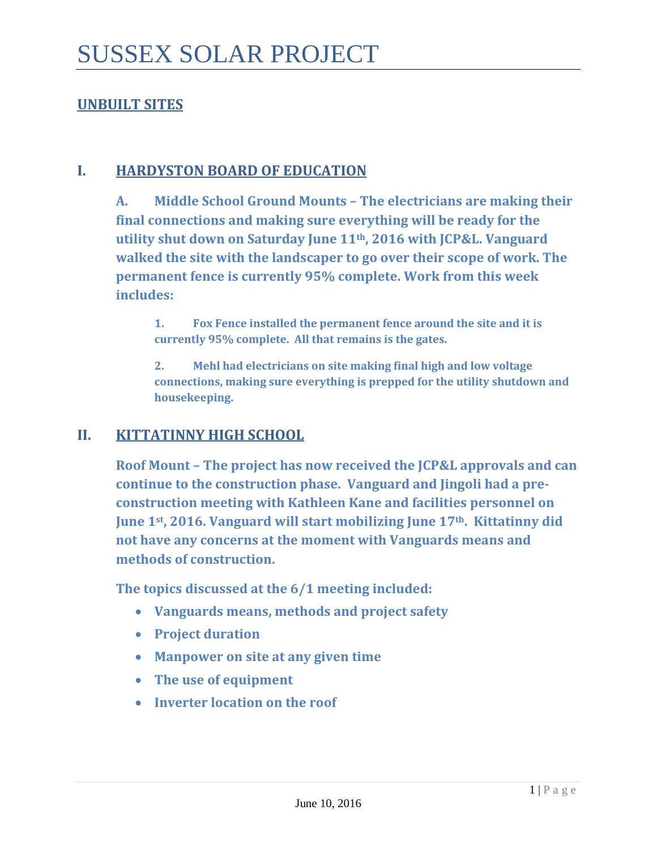## **UNBUILT SITES**

#### **I. HARDYSTON BOARD OF EDUCATION**

**A. Middle School Ground Mounts – The electricians are making their final connections and making sure everything will be ready for the utility shut down on Saturday June 11th, 2016 with JCP&L. Vanguard walked the site with the landscaper to go over their scope of work. The permanent fence is currently 95% complete. Work from this week includes:**

**1. Fox Fence installed the permanent fence around the site and it is currently 95% complete. All that remains is the gates.**

**2. Mehl had electricians on site making final high and low voltage connections, making sure everything is prepped for the utility shutdown and housekeeping.** 

#### **II. KITTATINNY HIGH SCHOOL**

**Roof Mount – The project has now received the JCP&L approvals and can continue to the construction phase. Vanguard and Jingoli had a preconstruction meeting with Kathleen Kane and facilities personnel on June 1st, 2016. Vanguard will start mobilizing June 17th. Kittatinny did not have any concerns at the moment with Vanguards means and methods of construction.** 

**The topics discussed at the 6/1 meeting included:**

- **Vanguards means, methods and project safety**
- **Project duration**
- **Manpower on site at any given time**
- **The use of equipment**
- **Inverter location on the roof**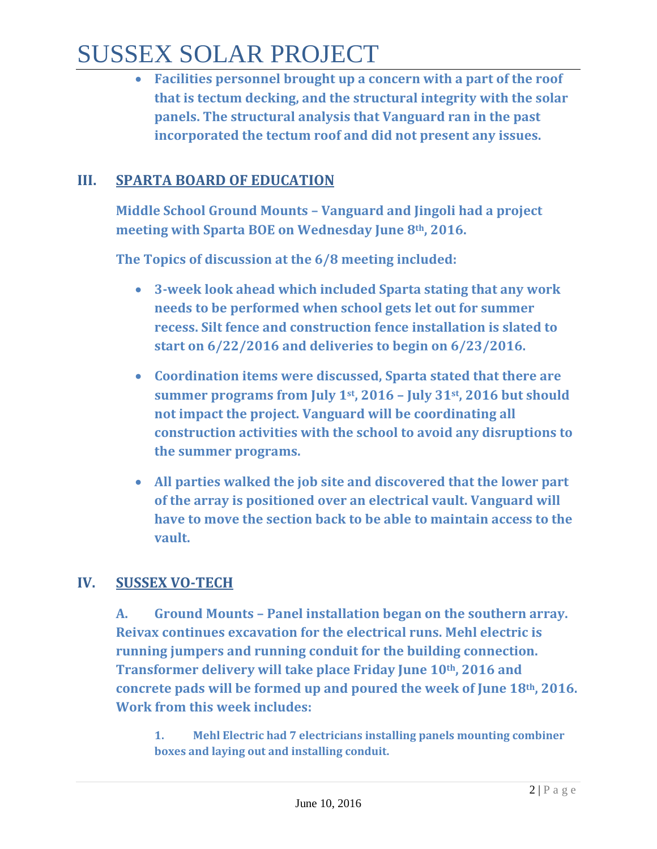# SUSSEX SOLAR PROJECT

• **Facilities personnel brought up a concern with a part of the roof that is tectum decking, and the structural integrity with the solar panels. The structural analysis that Vanguard ran in the past incorporated the tectum roof and did not present any issues.** 

## **III. SPARTA BOARD OF EDUCATION**

**Middle School Ground Mounts – Vanguard and Jingoli had a project meeting with Sparta BOE on Wednesday June 8th, 2016.**

**The Topics of discussion at the 6/8 meeting included:** 

- **3-week look ahead which included Sparta stating that any work needs to be performed when school gets let out for summer recess. Silt fence and construction fence installation is slated to start on 6/22/2016 and deliveries to begin on 6/23/2016.**
- **Coordination items were discussed, Sparta stated that there are summer programs from July 1st, 2016 – July 31st, 2016 but should not impact the project. Vanguard will be coordinating all construction activities with the school to avoid any disruptions to the summer programs.**
- **All parties walked the job site and discovered that the lower part of the array is positioned over an electrical vault. Vanguard will have to move the section back to be able to maintain access to the vault.**

## **IV. SUSSEX VO-TECH**

**A. Ground Mounts – Panel installation began on the southern array. Reivax continues excavation for the electrical runs. Mehl electric is running jumpers and running conduit for the building connection. Transformer delivery will take place Friday June 10th, 2016 and concrete pads will be formed up and poured the week of June 18th, 2016. Work from this week includes:**

**1. Mehl Electric had 7 electricians installing panels mounting combiner boxes and laying out and installing conduit.**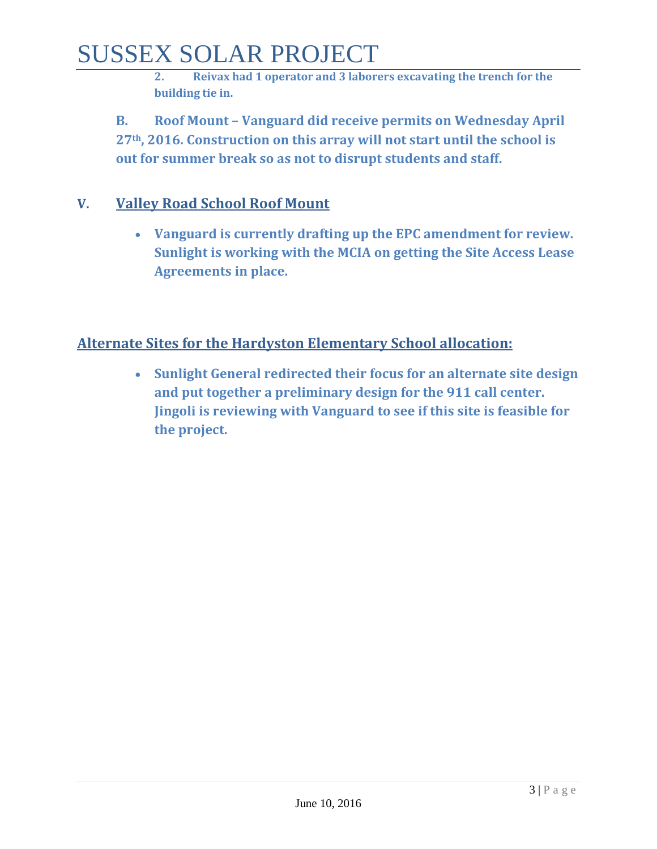# SUSSEX SOLAR PROJECT

**2. Reivax had 1 operator and 3 laborers excavating the trench for the building tie in.** 

**B. Roof Mount – Vanguard did receive permits on Wednesday April 27th, 2016. Construction on this array will not start until the school is out for summer break so as not to disrupt students and staff.**

## **V. Valley Road School Roof Mount**

• **Vanguard is currently drafting up the EPC amendment for review. Sunlight is working with the MCIA on getting the Site Access Lease Agreements in place.** 

## **Alternate Sites for the Hardyston Elementary School allocation:**

• **Sunlight General redirected their focus for an alternate site design and put together a preliminary design for the 911 call center. Jingoli is reviewing with Vanguard to see if this site is feasible for the project.**